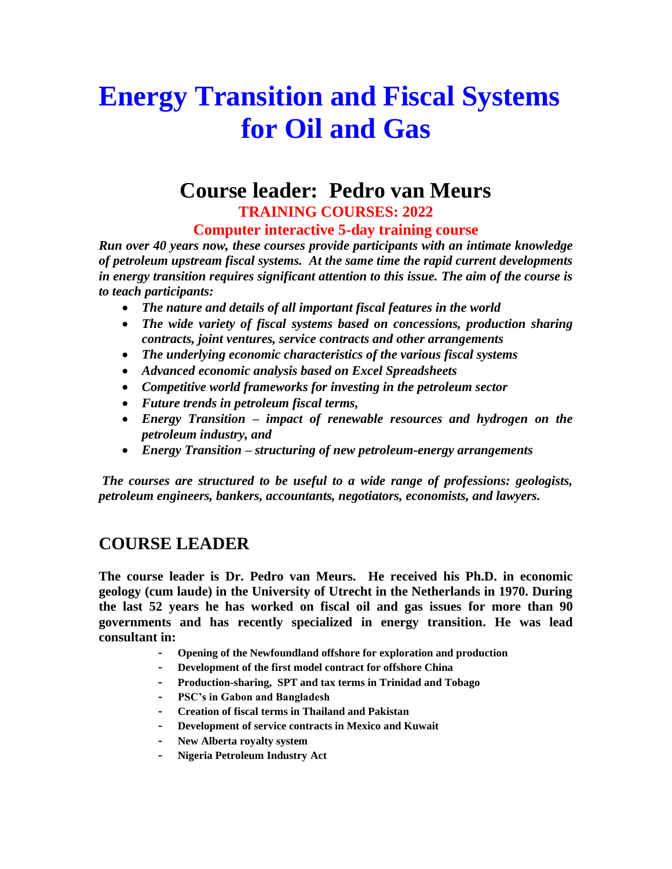# **Energy Transition and Fiscal Systems for Oil and Gas**

# **Course leader: Pedro van Meurs TRAINING COURSES: 2022**

**Computer interactive 5-day training course**

*Run over 40 years now, these courses provide participants with an intimate knowledge of petroleum upstream fiscal systems. At the same time the rapid current developments in energy transition requires significant attention to this issue. The aim of the course is to teach participants:*

- *The nature and details of all important fiscal features in the world*
- *The wide variety of fiscal systems based on concessions, production sharing contracts, joint ventures, service contracts and other arrangements*
- *The underlying economic characteristics of the various fiscal systems*
- *Advanced economic analysis based on Excel Spreadsheets*
- *Competitive world frameworks for investing in the petroleum sector*
- *Future trends in petroleum fiscal terms,*
- *Energy Transition – impact of renewable resources and hydrogen on the petroleum industry, and*
- *Energy Transition – structuring of new petroleum-energy arrangements*

*The courses are structured to be useful to a wide range of professions: geologists, petroleum engineers, bankers, accountants, negotiators, economists, and lawyers.*

#### **COURSE LEADER**

**The course leader is Dr. Pedro van Meurs. He received his Ph.D. in economic geology (cum laude) in the University of Utrecht in the Netherlands in 1970. During the last 52 years he has worked on fiscal oil and gas issues for more than 90 governments and has recently specialized in energy transition. He was lead consultant in:**

- **- Opening of the Newfoundland offshore for exploration and production**
- **- Development of the first model contract for offshore China**
- **- Production-sharing, SPT and tax terms in Trinidad and Tobago**
- **- PSC's in Gabon and Bangladesh**
- **- Creation of fiscal terms in Thailand and Pakistan**
- **- Development of service contracts in Mexico and Kuwait**
- **- New Alberta royalty system**
- **- Nigeria Petroleum Industry Act**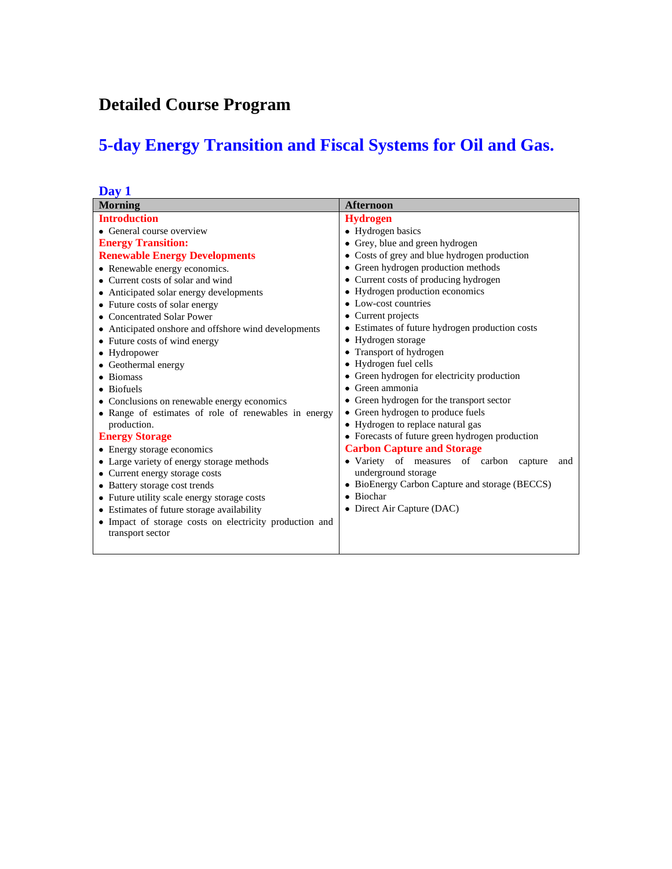# **Detailed Course Program**

# **5-day Energy Transition and Fiscal Systems for Oil and Gas.**

| Day 1                                                   |                                                 |
|---------------------------------------------------------|-------------------------------------------------|
| <b>Morning</b>                                          | <b>Afternoon</b>                                |
| <b>Introduction</b>                                     | <b>Hydrogen</b>                                 |
| • General course overview                               | • Hydrogen basics                               |
| <b>Energy Transition:</b>                               | • Grey, blue and green hydrogen                 |
| <b>Renewable Energy Developments</b>                    | • Costs of grey and blue hydrogen production    |
| • Renewable energy economics.                           | • Green hydrogen production methods             |
| • Current costs of solar and wind                       | • Current costs of producing hydrogen           |
| • Anticipated solar energy developments                 | • Hydrogen production economics                 |
| • Future costs of solar energy                          | $\bullet$ Low-cost countries                    |
| • Concentrated Solar Power                              | • Current projects                              |
| • Anticipated on shore and offshore wind developments   | • Estimates of future hydrogen production costs |
| • Future costs of wind energy                           | • Hydrogen storage                              |
| • Hydropower                                            | • Transport of hydrogen                         |
| • Geothermal energy                                     | • Hydrogen fuel cells                           |
| • Biomass                                               | • Green hydrogen for electricity production     |
| • Biofuels                                              | $\bullet$ Green ammonia                         |
| • Conclusions on renewable energy economics             | • Green hydrogen for the transport sector       |
| • Range of estimates of role of renewables in energy    | • Green hydrogen to produce fuels               |
| production.                                             | • Hydrogen to replace natural gas               |
| <b>Energy Storage</b>                                   | • Forecasts of future green hydrogen production |
| • Energy storage economics                              | <b>Carbon Capture and Storage</b>               |
| • Large variety of energy storage methods               | • Variety of measures of carbon capture<br>and  |
| • Current energy storage costs                          | underground storage                             |
| • Battery storage cost trends                           | • BioEnergy Carbon Capture and storage (BECCS)  |
| • Future utility scale energy storage costs             | • Biochar                                       |
| • Estimates of future storage availability              | • Direct Air Capture (DAC)                      |
| • Impact of storage costs on electricity production and |                                                 |
| transport sector                                        |                                                 |
|                                                         |                                                 |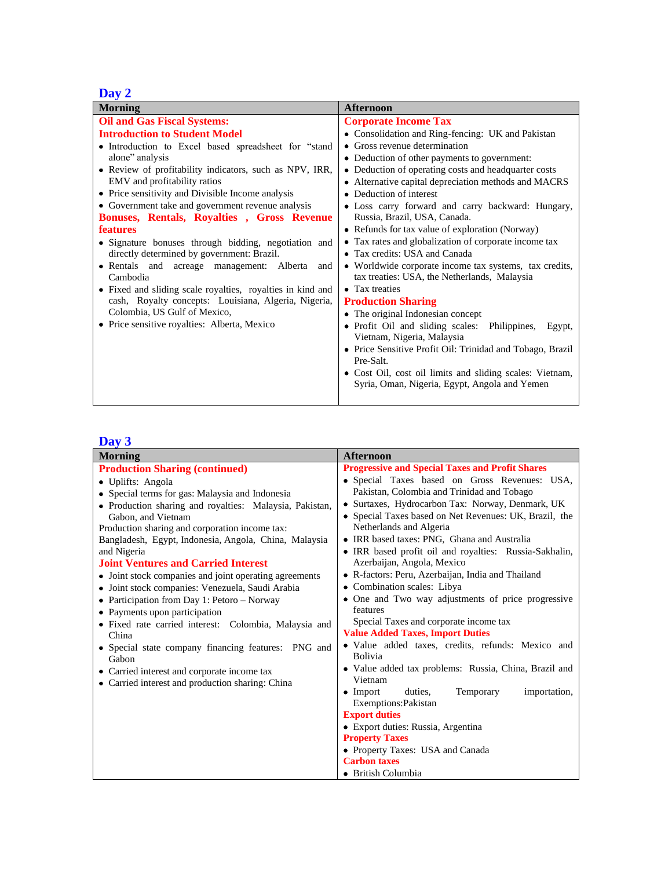## **Day 2**

| <b>Morning</b>                                               | <b>Afternoon</b>                                                                                       |
|--------------------------------------------------------------|--------------------------------------------------------------------------------------------------------|
| <b>Oil and Gas Fiscal Systems:</b>                           | <b>Corporate Income Tax</b>                                                                            |
| <b>Introduction to Student Model</b>                         | • Consolidation and Ring-fencing: UK and Pakistan                                                      |
| • Introduction to Excel based spreadsheet for "stand         | • Gross revenue determination                                                                          |
| alone" analysis                                              | • Deduction of other payments to government:                                                           |
| • Review of profitability indicators, such as NPV, IRR,      | • Deduction of operating costs and headquarter costs                                                   |
| EMV and profitability ratios                                 | • Alternative capital depreciation methods and MACRS                                                   |
| • Price sensitivity and Divisible Income analysis            | • Deduction of interest                                                                                |
| • Government take and government revenue analysis            | · Loss carry forward and carry backward: Hungary,                                                      |
| Bonuses, Rentals, Royalties, Gross Revenue                   | Russia, Brazil, USA, Canada.                                                                           |
| <b>features</b>                                              | • Refunds for tax value of exploration (Norway)                                                        |
| • Signature bonuses through bidding, negotiation and         | • Tax rates and globalization of corporate income tax                                                  |
| directly determined by government: Brazil.                   | • Tax credits: USA and Canada                                                                          |
| • Rentals and acreage management: Alberta<br>and<br>Cambodia | • Worldwide corporate income tax systems, tax credits,<br>tax treaties: USA, the Netherlands, Malaysia |
| • Fixed and sliding scale royalties, royalties in kind and   | • Tax treaties                                                                                         |
| cash, Royalty concepts: Louisiana, Algeria, Nigeria,         | <b>Production Sharing</b>                                                                              |
| Colombia, US Gulf of Mexico,                                 | • The original Indonesian concept                                                                      |
| • Price sensitive royalties: Alberta, Mexico                 | · Profit Oil and sliding scales: Philippines,                                                          |
|                                                              | Egypt,<br>Vietnam, Nigeria, Malaysia                                                                   |
|                                                              | • Price Sensitive Profit Oil: Trinidad and Tobago, Brazil                                              |
|                                                              | Pre-Salt.                                                                                              |
|                                                              | • Cost Oil, cost oil limits and sliding scales: Vietnam,                                               |
|                                                              | Syria, Oman, Nigeria, Egypt, Angola and Yemen                                                          |
|                                                              |                                                                                                        |

#### **Day 3**

| <b>Afternoon</b>                                            |
|-------------------------------------------------------------|
| <b>Progressive and Special Taxes and Profit Shares</b>      |
| · Special Taxes based on Gross Revenues: USA,               |
| Pakistan, Colombia and Trinidad and Tobago                  |
| • Surtaxes, Hydrocarbon Tax: Norway, Denmark, UK            |
| • Special Taxes based on Net Revenues: UK, Brazil, the      |
| Netherlands and Algeria                                     |
| · IRR based taxes: PNG, Ghana and Australia                 |
| • IRR based profit oil and royalties: Russia-Sakhalin,      |
| Azerbaijan, Angola, Mexico                                  |
| • R-factors: Peru, Azerbaijan, India and Thailand           |
| • Combination scales: Libya                                 |
| • One and Two way adjustments of price progressive          |
| features                                                    |
| Special Taxes and corporate income tax                      |
| <b>Value Added Taxes, Import Duties</b>                     |
| • Value added taxes, credits, refunds: Mexico and           |
| <b>Bolivia</b>                                              |
| • Value added tax problems: Russia, China, Brazil and       |
| Vietnam                                                     |
| duties,<br>Temporary<br>$\bullet$ Import<br>importation,    |
| Exemptions: Pakistan<br><b>Export duties</b>                |
|                                                             |
| • Export duties: Russia, Argentina<br><b>Property Taxes</b> |
| • Property Taxes: USA and Canada                            |
| <b>Carbon taxes</b>                                         |
| • British Columbia                                          |
|                                                             |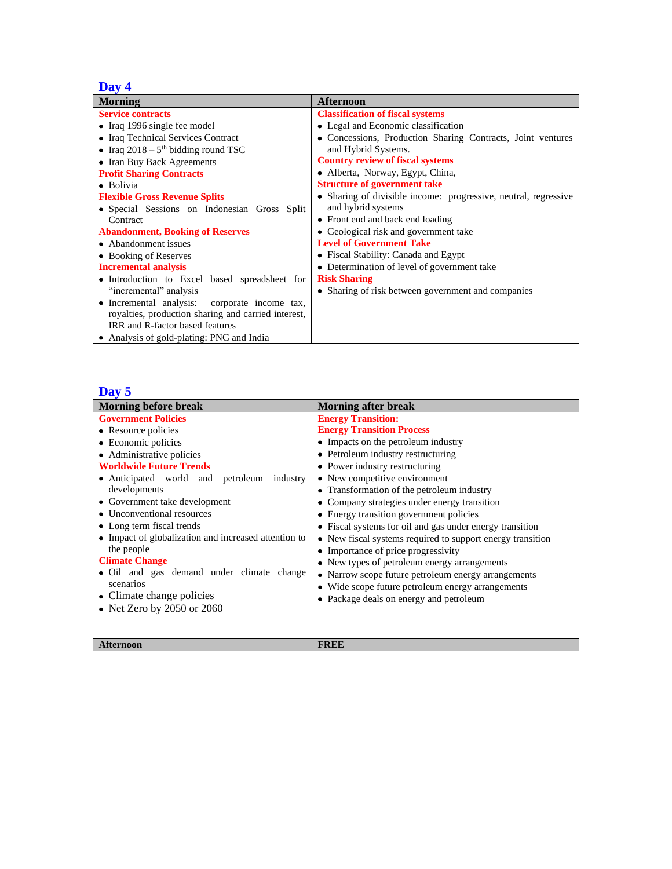#### **Day 4**

| <b>Morning</b>                                      | <b>Afternoon</b>                                                |
|-----------------------------------------------------|-----------------------------------------------------------------|
| <b>Service contracts</b>                            | <b>Classification of fiscal systems</b>                         |
| $\bullet$ Iraq 1996 single fee model                | • Legal and Economic classification                             |
| • Iraq Technical Services Contract                  | · Concessions, Production Sharing Contracts, Joint ventures     |
| • Iraq $2018 - 5$ <sup>th</sup> bidding round TSC   | and Hybrid Systems.                                             |
| • Iran Buy Back Agreements                          | <b>Country review of fiscal systems</b>                         |
| <b>Profit Sharing Contracts</b>                     | • Alberta, Norway, Egypt, China,                                |
| • Bolivia                                           | <b>Structure of government take</b>                             |
| <b>Flexible Gross Revenue Splits</b>                | • Sharing of divisible income: progressive, neutral, regressive |
| • Special Sessions on Indonesian Gross Split        | and hybrid systems                                              |
| Contract                                            | • Front end and back end loading                                |
| <b>Abandonment, Booking of Reserves</b>             | • Geological risk and government take                           |
| • Abandonment issues                                | <b>Level of Government Take</b>                                 |
| • Booking of Reserves                               | • Fiscal Stability: Canada and Egypt                            |
| <b>Incremental analysis</b>                         | • Determination of level of government take                     |
| • Introduction to Excel based spreadsheet for       | <b>Risk Sharing</b>                                             |
| "incremental" analysis                              | • Sharing of risk between government and companies              |
| • Incremental analysis:<br>corporate income tax,    |                                                                 |
| royalties, production sharing and carried interest, |                                                                 |
| IRR and R-factor based features                     |                                                                 |
| • Analysis of gold-plating: PNG and India           |                                                                 |

#### **Day 5**

| <b>Morning before break</b>                          | <b>Morning after break</b>                                 |
|------------------------------------------------------|------------------------------------------------------------|
| <b>Government Policies</b>                           | <b>Energy Transition:</b>                                  |
| • Resource policies                                  | <b>Energy Transition Process</b>                           |
| • Economic policies                                  | • Impacts on the petroleum industry                        |
| • Administrative policies                            | • Petroleum industry restructuring                         |
| <b>Worldwide Future Trends</b>                       | • Power industry restructuring                             |
| • Anticipated world and petroleum industry           | • New competitive environment                              |
| developments                                         | • Transformation of the petroleum industry                 |
| • Government take development                        | • Company strategies under energy transition               |
| • Unconventional resources                           | • Energy transition government policies                    |
| • Long term fiscal trends                            | • Fiscal systems for oil and gas under energy transition   |
| • Impact of globalization and increased attention to | • New fiscal systems required to support energy transition |
| the people                                           | • Importance of price progressivity                        |
| <b>Climate Change</b>                                | • New types of petroleum energy arrangements               |
| • Oil and gas demand under climate change            | • Narrow scope future petroleum energy arrangements        |
| scenarios                                            | • Wide scope future petroleum energy arrangements          |
| • Climate change policies                            | • Package deals on energy and petroleum                    |
| • Net Zero by 2050 or 2060                           |                                                            |
|                                                      |                                                            |
|                                                      |                                                            |
| <b>Afternoon</b>                                     | <b>FREE</b>                                                |